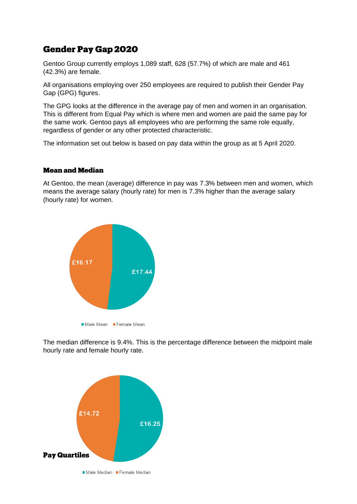# **Gender Pay Gap 2020**

Gentoo Group currently employs 1,089 staff, 628 (57.7%) of which are male and 461 (42.3%) are female.

All organisations employing over 250 employees are required to publish their Gender Pay Gap (GPG) figures.

The GPG looks at the difference in the average pay of men and women in an organisation. This is different from Equal Pay which is where men and women are paid the same pay for the same work. Gentoo pays all employees who are performing the same role equally, regardless of gender or any other protected characteristic.

The information set out below is based on pay data within the group as at 5 April 2020.

#### **Mean and Median**

At Gentoo, the mean (average) difference in pay was 7.3% between men and women, which means the average salary (hourly rate) for men is 7.3% higher than the average salary (hourly rate) for women.



The median difference is 9.4%. This is the percentage difference between the midpoint male hourly rate and female hourly rate.

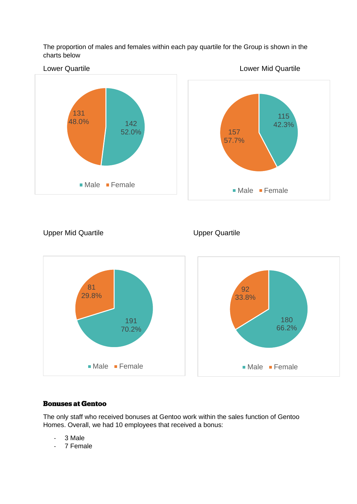The proportion of males and females within each pay quartile for the Group is shown in the charts below



Upper Mid Quartile **Upper Quartile** Upper Quartile



# **Bonuses at Gentoo**

The only staff who received bonuses at Gentoo work within the sales function of Gentoo Homes. Overall, we had 10 employees that received a bonus:

- 3 Male
- 7 Female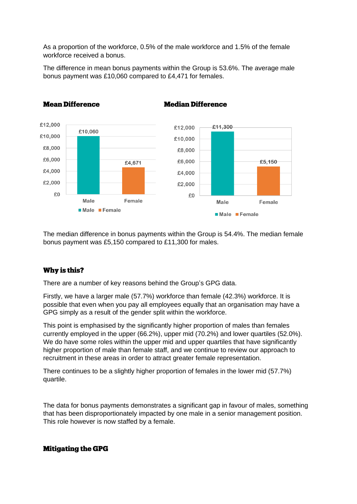As a proportion of the workforce, 0.5% of the male workforce and 1.5% of the female workforce received a bonus.

The difference in mean bonus payments within the Group is 53.6%. The average male bonus payment was £10,060 compared to £4,471 for females.

**Median Difference** 



# **Mean Difference**

The median difference in bonus payments within the Group is 54.4%. The median female bonus payment was £5,150 compared to £11,300 for males.

# Why is this?

There are a number of key reasons behind the Group's GPG data.

Firstly, we have a larger male (57.7%) workforce than female (42.3%) workforce. It is possible that even when you pay all employees equally that an organisation may have a GPG simply as a result of the gender split within the workforce.

This point is emphasised by the significantly higher proportion of males than females currently employed in the upper (66.2%), upper mid (70.2%) and lower quartiles (52.0%). We do have some roles within the upper mid and upper quartiles that have significantly higher proportion of male than female staff, and we continue to review our approach to recruitment in these areas in order to attract greater female representation.

There continues to be a slightly higher proportion of females in the lower mid (57.7%) quartile.

The data for bonus payments demonstrates a significant gap in favour of males, something that has been disproportionately impacted by one male in a senior management position. This role however is now staffed by a female.

# **Mitigating the GPG**